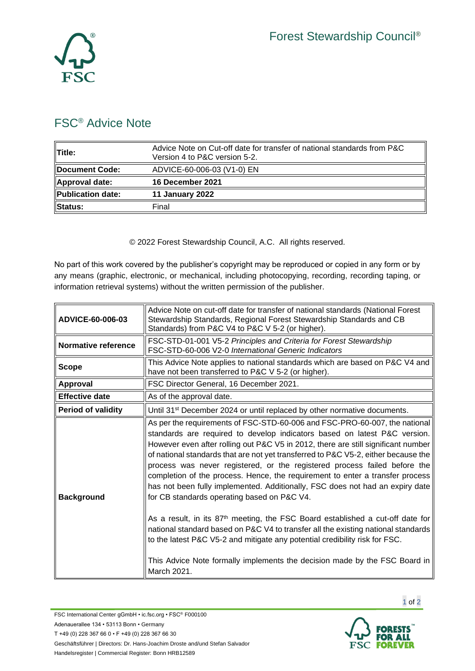

## FSC® Advice Note

| <b>Title:</b>     | Advice Note on Cut-off date for transfer of national standards from P&C<br>Version 4 to P&C version 5-2. |
|-------------------|----------------------------------------------------------------------------------------------------------|
| Document Code:    | ADVICE-60-006-03 (V1-0) EN                                                                               |
| Approval date:    | 16 December 2021                                                                                         |
| Publication date: | <b>11 January 2022</b>                                                                                   |
| Status:           | Final                                                                                                    |

© 2022 Forest Stewardship Council, A.C. All rights reserved.

No part of this work covered by the publisher's copyright may be reproduced or copied in any form or by any means (graphic, electronic, or mechanical, including photocopying, recording, recording taping, or information retrieval systems) without the written permission of the publisher.

| ADVICE-60-006-03          | Advice Note on cut-off date for transfer of national standards (National Forest<br>Stewardship Standards, Regional Forest Stewardship Standards and CB<br>Standards) from P&C V4 to P&C V 5-2 (or higher).                                                                                                                                                                                                                                                                                                                                                                                                                                                                                                                                                                                                                                                                                                                                                                                      |
|---------------------------|-------------------------------------------------------------------------------------------------------------------------------------------------------------------------------------------------------------------------------------------------------------------------------------------------------------------------------------------------------------------------------------------------------------------------------------------------------------------------------------------------------------------------------------------------------------------------------------------------------------------------------------------------------------------------------------------------------------------------------------------------------------------------------------------------------------------------------------------------------------------------------------------------------------------------------------------------------------------------------------------------|
| Normative reference       | FSC-STD-01-001 V5-2 Principles and Criteria for Forest Stewardship<br>FSC-STD-60-006 V2-0 International Generic Indicators                                                                                                                                                                                                                                                                                                                                                                                                                                                                                                                                                                                                                                                                                                                                                                                                                                                                      |
| <b>Scope</b>              | This Advice Note applies to national standards which are based on P&C V4 and<br>have not been transferred to P&C V 5-2 (or higher).                                                                                                                                                                                                                                                                                                                                                                                                                                                                                                                                                                                                                                                                                                                                                                                                                                                             |
| Approval                  | FSC Director General, 16 December 2021.                                                                                                                                                                                                                                                                                                                                                                                                                                                                                                                                                                                                                                                                                                                                                                                                                                                                                                                                                         |
| <b>Effective date</b>     | As of the approval date.                                                                                                                                                                                                                                                                                                                                                                                                                                                                                                                                                                                                                                                                                                                                                                                                                                                                                                                                                                        |
| <b>Period of validity</b> | Until 31 <sup>st</sup> December 2024 or until replaced by other normative documents.                                                                                                                                                                                                                                                                                                                                                                                                                                                                                                                                                                                                                                                                                                                                                                                                                                                                                                            |
| <b>Background</b>         | As per the requirements of FSC-STD-60-006 and FSC-PRO-60-007, the national<br>standards are required to develop indicators based on latest P&C version.<br>However even after rolling out P&C V5 in 2012, there are still significant number<br>of national standards that are not yet transferred to P&C V5-2, either because the<br>process was never registered, or the registered process failed before the<br>completion of the process. Hence, the requirement to enter a transfer process<br>has not been fully implemented. Additionally, FSC does not had an expiry date<br>for CB standards operating based on P&C V4.<br>As a result, in its 87 <sup>th</sup> meeting, the FSC Board established a cut-off date for<br>national standard based on P&C V4 to transfer all the existing national standards<br>to the latest P&C V5-2 and mitigate any potential credibility risk for FSC.<br>This Advice Note formally implements the decision made by the FSC Board in<br>March 2021. |